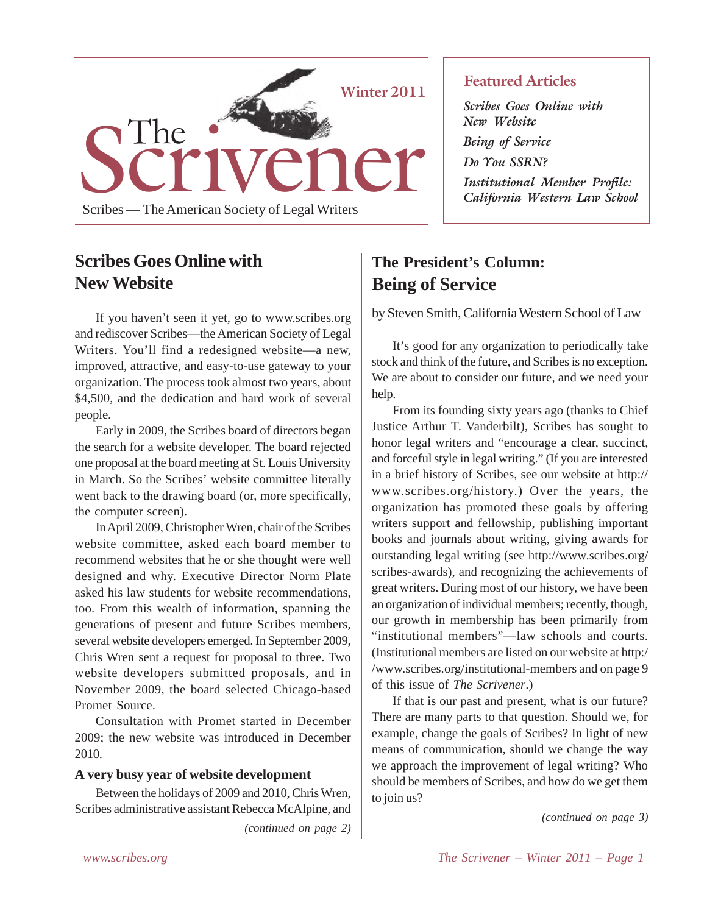

# **Scribes Goes Online with New Website**

If you haven't seen it yet, go to www.scribes.org and rediscover Scribes—the American Society of Legal Writers. You'll find a redesigned website—a new, improved, attractive, and easy-to-use gateway to your organization. The process took almost two years, about \$4,500, and the dedication and hard work of several people.

Early in 2009, the Scribes board of directors began the search for a website developer. The board rejected one proposal at the board meeting at St. Louis University in March. So the Scribes' website committee literally went back to the drawing board (or, more specifically, the computer screen).

In April 2009, Christopher Wren, chair of the Scribes website committee, asked each board member to recommend websites that he or she thought were well designed and why. Executive Director Norm Plate asked his law students for website recommendations, too. From this wealth of information, spanning the generations of present and future Scribes members, several website developers emerged. In September 2009, Chris Wren sent a request for proposal to three. Two website developers submitted proposals, and in November 2009, the board selected Chicago-based Promet Source.

Consultation with Promet started in December 2009; the new website was introduced in December 2010.

### **A very busy year of website development**

Between the holidays of 2009 and 2010, Chris Wren, Scribes administrative assistant Rebecca McAlpine, and

*(continued on page 2)*

# **Featured Articles**

*Scribes Goes Online with New Website Being of Service Do You SSRN? Institutional Member Profile: California Western Law School*

# **The President's Column: Being of Service**

by Steven Smith, California Western School of Law

It's good for any organization to periodically take stock and think of the future, and Scribes is no exception. We are about to consider our future, and we need your help.

From its founding sixty years ago (thanks to Chief Justice Arthur T. Vanderbilt), Scribes has sought to honor legal writers and "encourage a clear, succinct, and forceful style in legal writing." (If you are interested in a brief history of Scribes, see our website at http:// www.scribes.org/history.) Over the years, the organization has promoted these goals by offering writers support and fellowship, publishing important books and journals about writing, giving awards for outstanding legal writing (see http://www.scribes.org/ scribes-awards), and recognizing the achievements of great writers. During most of our history, we have been an organization of individual members; recently, though, our growth in membership has been primarily from "institutional members"—law schools and courts. (Institutional members are listed on our website at http:/ /www.scribes.org/institutional-members and on page 9 of this issue of *The Scrivener*.)

If that is our past and present, what is our future? There are many parts to that question. Should we, for example, change the goals of Scribes? In light of new means of communication, should we change the way we approach the improvement of legal writing? Who should be members of Scribes, and how do we get them to join us?

*(continued on page 3)*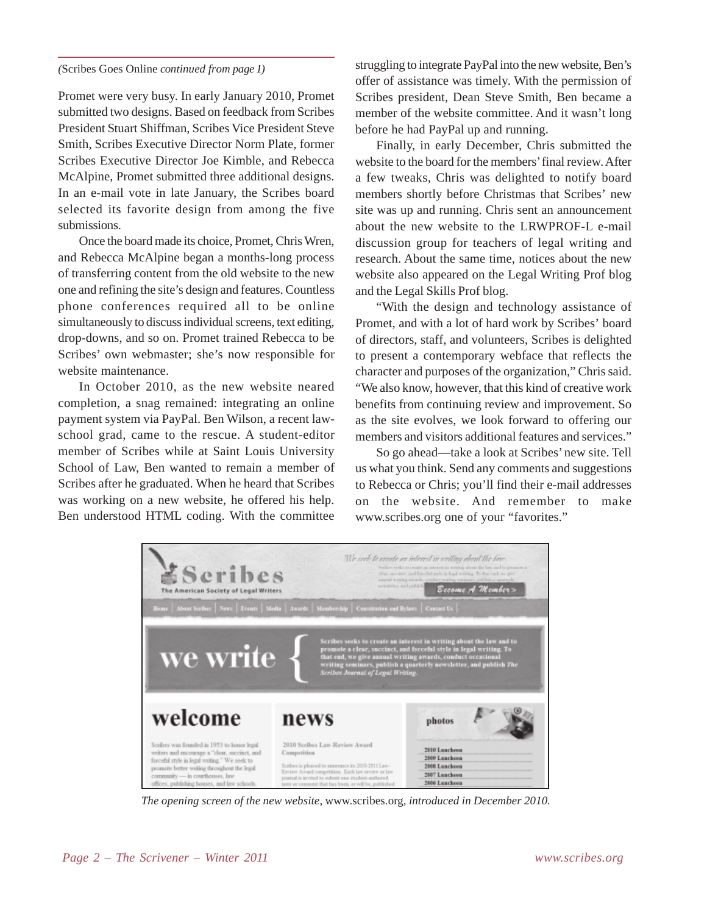#### *(*Scribes Goes Online *continued from page 1)*

Promet were very busy. In early January 2010, Promet submitted two designs. Based on feedback from Scribes President Stuart Shiffman, Scribes Vice President Steve Smith, Scribes Executive Director Norm Plate, former Scribes Executive Director Joe Kimble, and Rebecca McAlpine, Promet submitted three additional designs. In an e-mail vote in late January, the Scribes board selected its favorite design from among the five submissions.

Once the board made its choice, Promet, Chris Wren, and Rebecca McAlpine began a months-long process of transferring content from the old website to the new one and refining the site's design and features. Countless phone conferences required all to be online simultaneously to discuss individual screens, text editing, drop-downs, and so on. Promet trained Rebecca to be Scribes' own webmaster; she's now responsible for website maintenance.

In October 2010, as the new website neared completion, a snag remained: integrating an online payment system via PayPal. Ben Wilson, a recent lawschool grad, came to the rescue. A student-editor member of Scribes while at Saint Louis University School of Law, Ben wanted to remain a member of Scribes after he graduated. When he heard that Scribes was working on a new website, he offered his help. Ben understood HTML coding. With the committee

struggling to integrate PayPal into the new website, Ben's offer of assistance was timely. With the permission of Scribes president, Dean Steve Smith, Ben became a member of the website committee. And it wasn't long before he had PayPal up and running.

Finally, in early December, Chris submitted the website to the board for the members' final review. After a few tweaks, Chris was delighted to notify board members shortly before Christmas that Scribes' new site was up and running. Chris sent an announcement about the new website to the LRWPROF-L e-mail discussion group for teachers of legal writing and research. About the same time, notices about the new website also appeared on the Legal Writing Prof blog and the Legal Skills Prof blog.

"With the design and technology assistance of Promet, and with a lot of hard work by Scribes' board of directors, staff, and volunteers, Scribes is delighted to present a contemporary webface that reflects the character and purposes of the organization," Chris said. "We also know, however, that this kind of creative work benefits from continuing review and improvement. So as the site evolves, we look forward to offering our members and visitors additional features and services."

So go ahead—take a look at Scribes' new site. Tell us what you think. Send any comments and suggestions to Rebecca or Chris; you'll find their e-mail addresses on the website. And remember to make www.scribes.org one of your "favorites."



*The opening screen of the new website,* www.scribes.org*, introduced in December 2010.*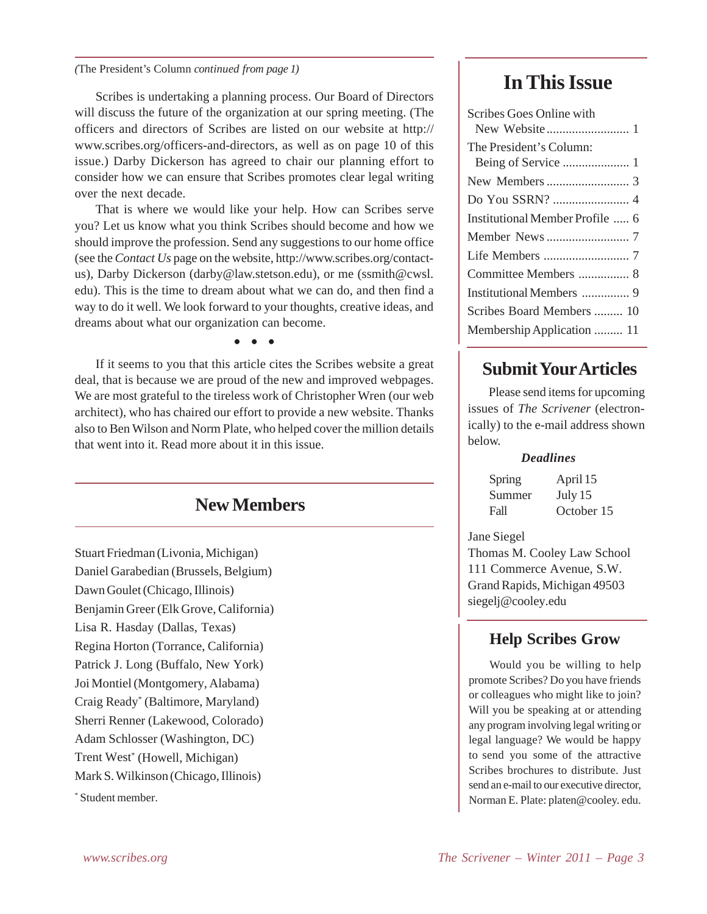*(*The President's Column *continued from page 1)*

Scribes is undertaking a planning process. Our Board of Directors will discuss the future of the organization at our spring meeting. (The officers and directors of Scribes are listed on our website at http:// www.scribes.org/officers-and-directors, as well as on page 10 of this issue.) Darby Dickerson has agreed to chair our planning effort to consider how we can ensure that Scribes promotes clear legal writing over the next decade.

That is where we would like your help. How can Scribes serve you? Let us know what you think Scribes should become and how we should improve the profession. Send any suggestions to our home office (see the *Contact Us* page on the website, http://www.scribes.org/contactus), Darby Dickerson (darby@law.stetson.edu), or me (ssmith@cwsl. edu). This is the time to dream about what we can do, and then find a way to do it well. We look forward to your thoughts, creative ideas, and dreams about what our organization can become.

• • •

If it seems to you that this article cites the Scribes website a great deal, that is because we are proud of the new and improved webpages. We are most grateful to the tireless work of Christopher Wren (our web architect), who has chaired our effort to provide a new website. Thanks also to Ben Wilson and Norm Plate, who helped cover the million details that went into it. Read more about it in this issue.

# **New Members**

Stuart Friedman (Livonia, Michigan) Daniel Garabedian (Brussels, Belgium) Dawn Goulet (Chicago, Illinois) Benjamin Greer (Elk Grove, California) Lisa R. Hasday (Dallas, Texas) Regina Horton (Torrance, California) Patrick J. Long (Buffalo, New York) Joi Montiel (Montgomery, Alabama) Craig Ready\* (Baltimore, Maryland) Sherri Renner (Lakewood, Colorado) Adam Schlosser (Washington, DC) Trent West\* (Howell, Michigan) Mark S. Wilkinson (Chicago, Illinois) \* Student member.

# **In This Issue**

| Scribes Goes Online with        |
|---------------------------------|
| The President's Column:         |
|                                 |
|                                 |
| Institutional Member Profile  6 |
|                                 |
|                                 |
| Committee Members  8            |
|                                 |
| Scribes Board Members  10       |
| Membership Application  11      |

# **Submit Your Articles**

Please send items for upcoming issues of *The Scrivener* (electronically) to the e-mail address shown below.

### *Deadlines*

Spring April 15 Summer July 15 Fall October 15

Jane Siegel

Thomas M. Cooley Law School 111 Commerce Avenue, S.W. Grand Rapids, Michigan 49503 siegelj@cooley.edu

# **Help Scribes Grow**

Would you be willing to help promote Scribes? Do you have friends or colleagues who might like to join? Will you be speaking at or attending any program involving legal writing or legal language? We would be happy to send you some of the attractive Scribes brochures to distribute. Just send an e-mail to our executive director, Norman E. Plate: platen@cooley. edu.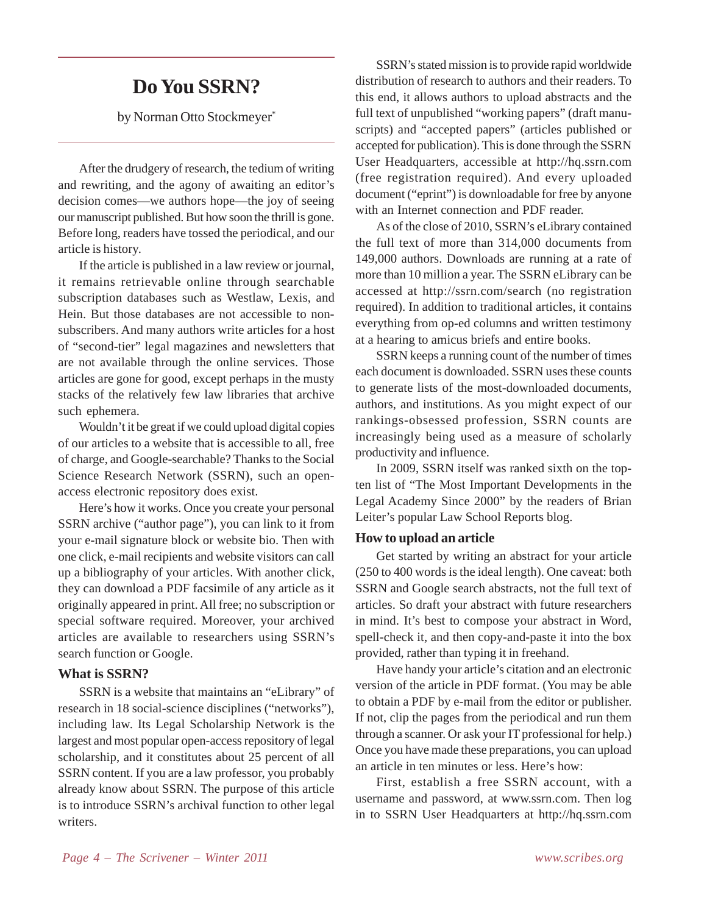# **Do You SSRN?**

by Norman Otto Stockmeyer\*

After the drudgery of research, the tedium of writing and rewriting, and the agony of awaiting an editor's decision comes—we authors hope—the joy of seeing our manuscript published. But how soon the thrill is gone. Before long, readers have tossed the periodical, and our article is history.

If the article is published in a law review or journal, it remains retrievable online through searchable subscription databases such as Westlaw, Lexis, and Hein. But those databases are not accessible to nonsubscribers. And many authors write articles for a host of "second-tier" legal magazines and newsletters that are not available through the online services. Those articles are gone for good, except perhaps in the musty stacks of the relatively few law libraries that archive such ephemera.

Wouldn't it be great if we could upload digital copies of our articles to a website that is accessible to all, free of charge, and Google-searchable? Thanks to the Social Science Research Network (SSRN), such an openaccess electronic repository does exist.

Here's how it works. Once you create your personal SSRN archive ("author page"), you can link to it from your e-mail signature block or website bio. Then with one click, e-mail recipients and website visitors can call up a bibliography of your articles. With another click, they can download a PDF facsimile of any article as it originally appeared in print. All free; no subscription or special software required. Moreover, your archived articles are available to researchers using SSRN's search function or Google.

### **What is SSRN?**

SSRN is a website that maintains an "eLibrary" of research in 18 social-science disciplines ("networks"), including law. Its Legal Scholarship Network is the largest and most popular open-access repository of legal scholarship, and it constitutes about 25 percent of all SSRN content. If you are a law professor, you probably already know about SSRN. The purpose of this article is to introduce SSRN's archival function to other legal writers.

SSRN's stated mission is to provide rapid worldwide distribution of research to authors and their readers. To this end, it allows authors to upload abstracts and the full text of unpublished "working papers" (draft manuscripts) and "accepted papers" (articles published or accepted for publication). This is done through the SSRN User Headquarters, accessible at http://hq.ssrn.com (free registration required). And every uploaded document ("eprint") is downloadable for free by anyone with an Internet connection and PDF reader.

As of the close of 2010, SSRN's eLibrary contained the full text of more than 314,000 documents from 149,000 authors. Downloads are running at a rate of more than 10 million a year. The SSRN eLibrary can be accessed at http://ssrn.com/search (no registration required). In addition to traditional articles, it contains everything from op-ed columns and written testimony at a hearing to amicus briefs and entire books.

SSRN keeps a running count of the number of times each document is downloaded. SSRN uses these counts to generate lists of the most-downloaded documents, authors, and institutions. As you might expect of our rankings-obsessed profession, SSRN counts are increasingly being used as a measure of scholarly productivity and influence.

In 2009, SSRN itself was ranked sixth on the topten list of "The Most Important Developments in the Legal Academy Since 2000" by the readers of Brian Leiter's popular Law School Reports blog.

# **How to upload an article**

Get started by writing an abstract for your article (250 to 400 words is the ideal length). One caveat: both SSRN and Google search abstracts, not the full text of articles. So draft your abstract with future researchers in mind. It's best to compose your abstract in Word, spell-check it, and then copy-and-paste it into the box provided, rather than typing it in freehand.

Have handy your article's citation and an electronic version of the article in PDF format. (You may be able to obtain a PDF by e-mail from the editor or publisher. If not, clip the pages from the periodical and run them through a scanner. Or ask your IT professional for help.) Once you have made these preparations, you can upload an article in ten minutes or less. Here's how:

First, establish a free SSRN account, with a username and password, at www.ssrn.com. Then log in to SSRN User Headquarters at http://hq.ssrn.com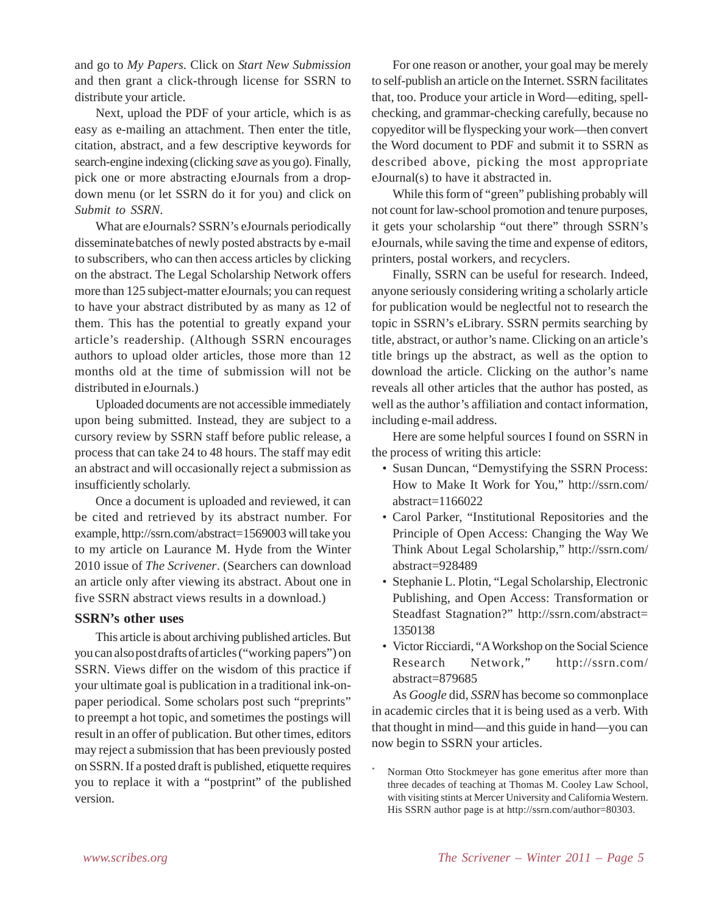and go to *My Papers*. Click on *Start New Submission* and then grant a click-through license for SSRN to distribute your article.

Next, upload the PDF of your article, which is as easy as e-mailing an attachment. Then enter the title, citation, abstract, and a few descriptive keywords for search-engine indexing (clicking *save* as you go). Finally, pick one or more abstracting eJournals from a dropdown menu (or let SSRN do it for you) and click on *Submit to SSRN*.

What are eJournals? SSRN's eJournals periodically disseminate batches of newly posted abstracts by e-mail to subscribers, who can then access articles by clicking on the abstract. The Legal Scholarship Network offers more than 125 subject-matter eJournals; you can request to have your abstract distributed by as many as 12 of them. This has the potential to greatly expand your article's readership. (Although SSRN encourages authors to upload older articles, those more than 12 months old at the time of submission will not be distributed in eJournals.)

Uploaded documents are not accessible immediately upon being submitted. Instead, they are subject to a cursory review by SSRN staff before public release, a process that can take 24 to 48 hours. The staff may edit an abstract and will occasionally reject a submission as insufficiently scholarly.

Once a document is uploaded and reviewed, it can be cited and retrieved by its abstract number. For example, http://ssrn.com/abstract=1569003 will take you to my article on Laurance M. Hyde from the Winter 2010 issue of *The Scrivener*. (Searchers can download an article only after viewing its abstract. About one in five SSRN abstract views results in a download.)

### **SSRN's other uses**

This article is about archiving published articles. But you can also post drafts of articles ("working papers") on SSRN. Views differ on the wisdom of this practice if your ultimate goal is publication in a traditional ink-onpaper periodical. Some scholars post such "preprints" to preempt a hot topic, and sometimes the postings will result in an offer of publication. But other times, editors may reject a submission that has been previously posted on SSRN. If a posted draft is published, etiquette requires you to replace it with a "postprint" of the published version.

For one reason or another, your goal may be merely to self-publish an article on the Internet. SSRN facilitates that, too. Produce your article in Word—editing, spellchecking, and grammar-checking carefully, because no copyeditor will be flyspecking your work—then convert the Word document to PDF and submit it to SSRN as described above, picking the most appropriate eJournal(s) to have it abstracted in.

While this form of "green" publishing probably will not count for law-school promotion and tenure purposes, it gets your scholarship "out there" through SSRN's eJournals, while saving the time and expense of editors, printers, postal workers, and recyclers.

Finally, SSRN can be useful for research. Indeed, anyone seriously considering writing a scholarly article for publication would be neglectful not to research the topic in SSRN's eLibrary. SSRN permits searching by title, abstract, or author's name. Clicking on an article's title brings up the abstract, as well as the option to download the article. Clicking on the author's name reveals all other articles that the author has posted, as well as the author's affiliation and contact information, including e-mail address.

Here are some helpful sources I found on SSRN in the process of writing this article:

- Susan Duncan, "Demystifying the SSRN Process: How to Make It Work for You," http://ssrn.com/ abstract=1166022
- Carol Parker, "Institutional Repositories and the Principle of Open Access: Changing the Way We Think About Legal Scholarship," http://ssrn.com/ abstract=928489
- Stephanie L. Plotin, "Legal Scholarship, Electronic Publishing, and Open Access: Transformation or Steadfast Stagnation?" http://ssrn.com/abstract= 1350138
- Victor Ricciardi, "A Workshop on the Social Science Research Network," http://ssrn.com/ abstract=879685

As *Google* did, *SSRN* has become so commonplace in academic circles that it is being used as a verb. With that thought in mind—and this guide in hand—you can now begin to SSRN your articles.

Norman Otto Stockmeyer has gone emeritus after more than three decades of teaching at Thomas M. Cooley Law School, with visiting stints at Mercer University and California Western. His SSRN author page is at http://ssrn.com/author=80303.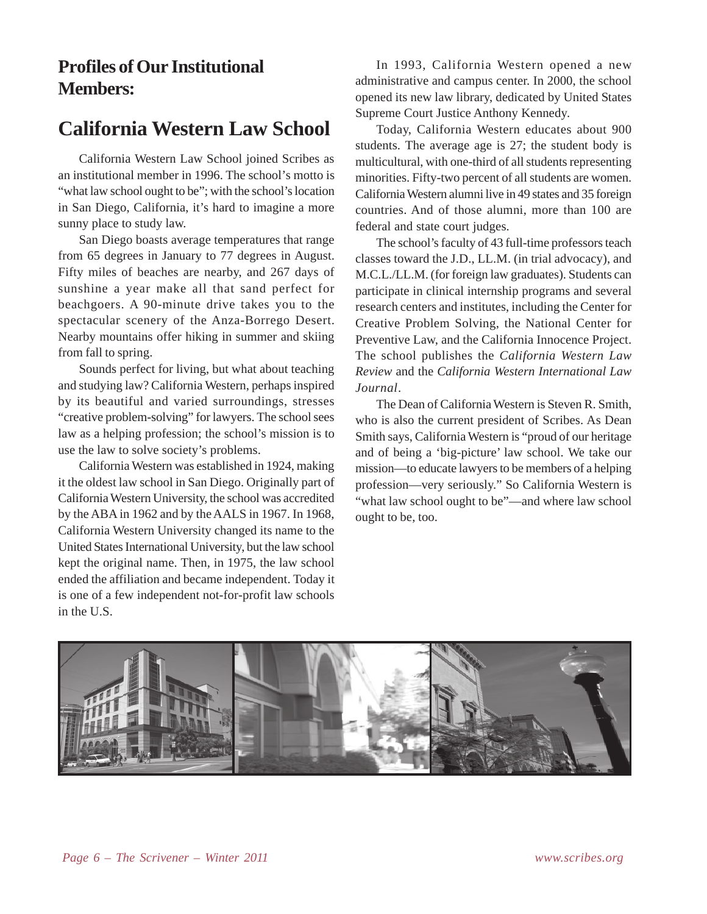# **Profiles of Our Institutional Members:**

# **California Western Law School**

California Western Law School joined Scribes as an institutional member in 1996. The school's motto is "what law school ought to be"; with the school's location in San Diego, California, it's hard to imagine a more sunny place to study law.

San Diego boasts average temperatures that range from 65 degrees in January to 77 degrees in August. Fifty miles of beaches are nearby, and 267 days of sunshine a year make all that sand perfect for beachgoers. A 90-minute drive takes you to the spectacular scenery of the Anza-Borrego Desert. Nearby mountains offer hiking in summer and skiing from fall to spring.

Sounds perfect for living, but what about teaching and studying law? California Western, perhaps inspired by its beautiful and varied surroundings, stresses "creative problem-solving" for lawyers. The school sees law as a helping profession; the school's mission is to use the law to solve society's problems.

California Western was established in 1924, making it the oldest law school in San Diego. Originally part of California Western University, the school was accredited by the ABA in 1962 and by the AALS in 1967. In 1968, California Western University changed its name to the United States International University, but the law school kept the original name. Then, in 1975, the law school ended the affiliation and became independent. Today it is one of a few independent not-for-profit law schools in the U.S.

In 1993, California Western opened a new administrative and campus center. In 2000, the school opened its new law library, dedicated by United States Supreme Court Justice Anthony Kennedy.

Today, California Western educates about 900 students. The average age is 27; the student body is multicultural, with one-third of all students representing minorities. Fifty-two percent of all students are women. California Western alumni live in 49 states and 35 foreign countries. And of those alumni, more than 100 are federal and state court judges.

The school's faculty of 43 full-time professors teach classes toward the J.D., LL.M. (in trial advocacy), and M.C.L./LL.M. (for foreign law graduates). Students can participate in clinical internship programs and several research centers and institutes, including the Center for Creative Problem Solving, the National Center for Preventive Law, and the California Innocence Project. The school publishes the *California Western Law Review* and the *California Western International Law Journal*.

The Dean of California Western is Steven R. Smith, who is also the current president of Scribes. As Dean Smith says, California Western is "proud of our heritage and of being a 'big-picture' law school. We take our mission—to educate lawyers to be members of a helping profession—very seriously." So California Western is "what law school ought to be"—and where law school ought to be, too.

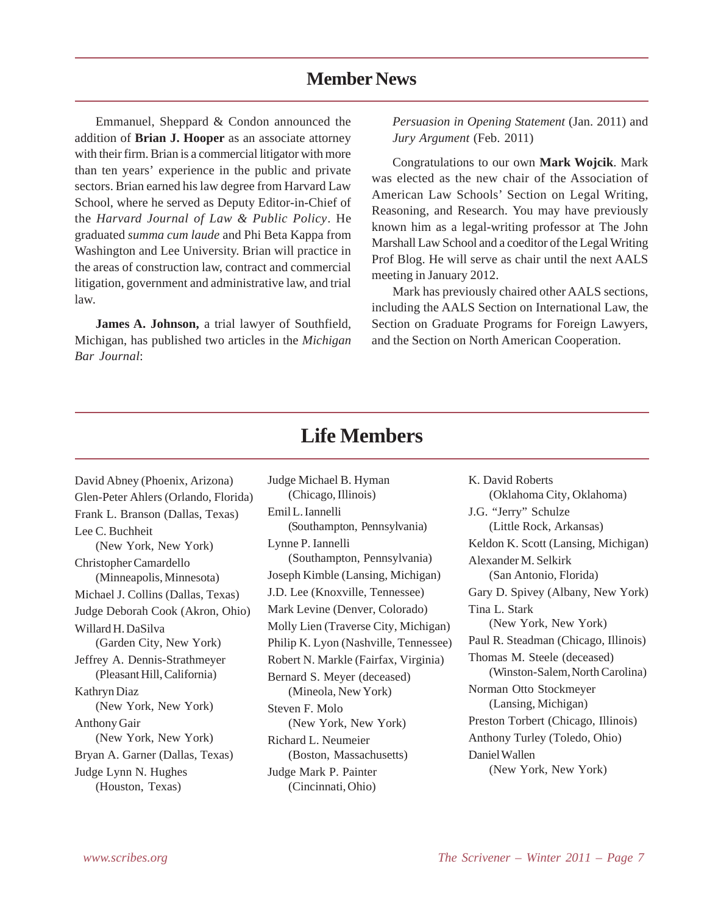# **Member News**

Emmanuel, Sheppard & Condon announced the addition of **Brian J. Hooper** as an associate attorney with their firm. Brian is a commercial litigator with more than ten years' experience in the public and private sectors. Brian earned his law degree from Harvard Law School, where he served as Deputy Editor-in-Chief of the *Harvard Journal of Law & Public Policy*. He graduated *summa cum laude* and Phi Beta Kappa from Washington and Lee University. Brian will practice in the areas of construction law, contract and commercial litigation, government and administrative law, and trial law.

**James A. Johnson,** a trial lawyer of Southfield, Michigan, has published two articles in the *Michigan Bar Journal*:

*Persuasion in Opening Statement* (Jan. 2011) and *Jury Argument* (Feb. 2011)

Congratulations to our own **Mark Wojcik**. Mark was elected as the new chair of the Association of American Law Schools' Section on Legal Writing, Reasoning, and Research. You may have previously known him as a legal-writing professor at The John Marshall Law School and a coeditor of the Legal Writing Prof Blog. He will serve as chair until the next AALS meeting in January 2012.

Mark has previously chaired other AALS sections, including the AALS Section on International Law, the Section on Graduate Programs for Foreign Lawyers, and the Section on North American Cooperation.

| David Abney (Phoenix, Arizona)                               | Judge Michael B. Hyman                                                 | K. David Roberts                                               |  |
|--------------------------------------------------------------|------------------------------------------------------------------------|----------------------------------------------------------------|--|
| Glen-Peter Ahlers (Orlando, Florida)                         | (Chicago, Illinois)                                                    | (Oklahoma City, Oklahoma)                                      |  |
| Frank L. Branson (Dallas, Texas)                             | Emil L. Iannelli                                                       | J.G. "Jerry" Schulze                                           |  |
| Lee C. Buchheit                                              | (Southampton, Pennsylvania)                                            | (Little Rock, Arkansas)                                        |  |
| (New York, New York)                                         | Lynne P. Iannelli                                                      | Keldon K. Scott (Lansing, Michigan)                            |  |
| Christopher Camardello<br>(Minneapolis, Minnesota)           | (Southampton, Pennsylvania)<br>Joseph Kimble (Lansing, Michigan)       | Alexander M. Selkirk<br>(San Antonio, Florida)                 |  |
| Michael J. Collins (Dallas, Texas)                           | J.D. Lee (Knoxville, Tennessee)                                        | Gary D. Spivey (Albany, New York)                              |  |
| Judge Deborah Cook (Akron, Ohio)<br>Willard H. DaSilva       | Mark Levine (Denver, Colorado)<br>Molly Lien (Traverse City, Michigan) | Tina L. Stark<br>(New York, New York)                          |  |
| (Garden City, New York)                                      | Philip K. Lyon (Nashville, Tennessee)                                  | Paul R. Steadman (Chicago, Illinois)                           |  |
| Jeffrey A. Dennis-Strathmeyer<br>(Pleasant Hill, California) | Robert N. Markle (Fairfax, Virginia)<br>Bernard S. Meyer (deceased)    | Thomas M. Steele (deceased)<br>(Winston-Salem, North Carolina) |  |
| Kathryn Diaz<br>(New York, New York)                         | (Mineola, New York)<br>Steven F. Molo                                  | Norman Otto Stockmeyer<br>(Lansing, Michigan)                  |  |
| <b>Anthony Gair</b>                                          | (New York, New York)                                                   | Preston Torbert (Chicago, Illinois)                            |  |
| (New York, New York)                                         | Richard L. Neumeier                                                    | Anthony Turley (Toledo, Ohio)                                  |  |
| Bryan A. Garner (Dallas, Texas)                              | (Boston, Massachusetts)                                                | Daniel Wallen                                                  |  |
| Judge Lynn N. Hughes<br>(Houston, Texas)                     | Judge Mark P. Painter<br>(Cincinnati, Ohio)                            | (New York, New York)                                           |  |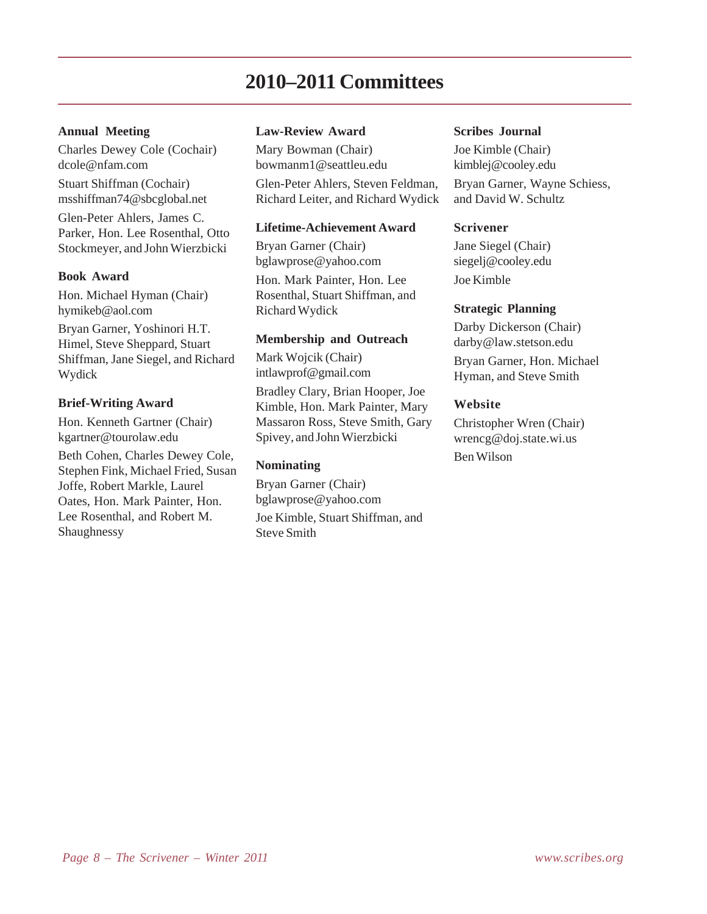# **2010–2011 Committees**

### **Annual Meeting**

Charles Dewey Cole (Cochair) dcole@nfam.com

Stuart Shiffman (Cochair) msshiffman74@sbcglobal.net

Glen-Peter Ahlers, James C. Parker, Hon. Lee Rosenthal, Otto Stockmeyer, and John Wierzbicki

### **Book Award**

Hon. Michael Hyman (Chair) hymikeb@aol.com

Bryan Garner, Yoshinori H.T. Himel, Steve Sheppard, Stuart Shiffman, Jane Siegel, and Richard Wydick

### **Brief-Writing Award**

Hon. Kenneth Gartner (Chair) kgartner@tourolaw.edu

Beth Cohen, Charles Dewey Cole, Stephen Fink, Michael Fried, Susan Joffe, Robert Markle, Laurel Oates, Hon. Mark Painter, Hon. Lee Rosenthal, and Robert M. Shaughnessy

### **Law-Review Award**

Mary Bowman (Chair) bowmanm1@seattleu.edu Glen-Peter Ahlers, Steven Feldman, Richard Leiter, and Richard Wydick

### **Lifetime-Achievement Award**

Bryan Garner (Chair) bglawprose@yahoo.com Hon. Mark Painter, Hon. Lee Rosenthal, Stuart Shiffman, and Richard Wydick

### **Membership and Outreach**

Mark Wojcik (Chair) intlawprof@gmail.com Bradley Clary, Brian Hooper, Joe Kimble, Hon. Mark Painter, Mary Massaron Ross, Steve Smith, Gary Spivey, and John Wierzbicki

# **Nominating**

Bryan Garner (Chair) bglawprose@yahoo.com Joe Kimble, Stuart Shiffman, and Steve Smith

### **Scribes Journal**

Joe Kimble (Chair) kimblej@cooley.edu Bryan Garner, Wayne Schiess, and David W. Schultz

### **Scrivener**

Jane Siegel (Chair) siegelj@cooley.edu Joe Kimble

### **Strategic Planning**

Darby Dickerson (Chair) darby@law.stetson.edu

Bryan Garner, Hon. Michael Hyman, and Steve Smith

### **Website**

Christopher Wren (Chair) wrencg@doj.state.wi.us Ben Wilson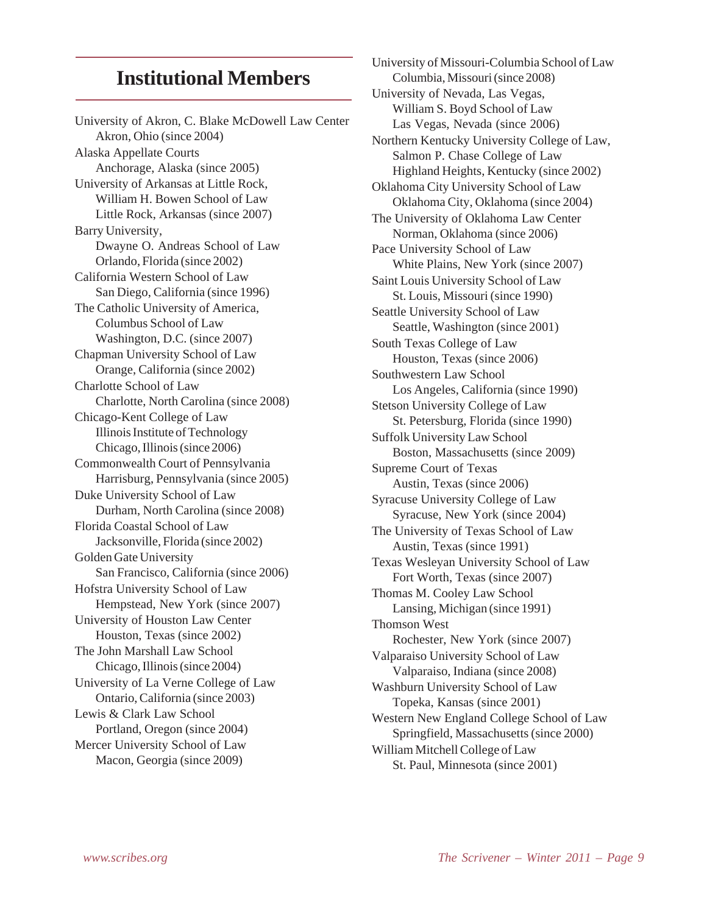# **Institutional Members**

University of Akron, C. Blake McDowell Law Center Akron, Ohio (since 2004) Alaska Appellate Courts Anchorage, Alaska (since 2005) University of Arkansas at Little Rock, William H. Bowen School of Law Little Rock, Arkansas (since 2007) Barry University, Dwayne O. Andreas School of Law Orlando, Florida (since 2002) California Western School of Law San Diego, California (since 1996) The Catholic University of America, Columbus School of Law Washington, D.C. (since 2007) Chapman University School of Law Orange, California (since 2002) Charlotte School of Law Charlotte, North Carolina (since 2008) Chicago-Kent College of Law Illinois Institute of Technology Chicago, Illinois (since 2006) Commonwealth Court of Pennsylvania Harrisburg, Pennsylvania (since 2005) Duke University School of Law Durham, North Carolina (since 2008) Florida Coastal School of Law Jacksonville, Florida (since 2002) Golden Gate University San Francisco, California (since 2006) Hofstra University School of Law Hempstead, New York (since 2007) University of Houston Law Center Houston, Texas (since 2002) The John Marshall Law School Chicago, Illinois (since 2004) University of La Verne College of Law Ontario, California (since 2003) Lewis & Clark Law School Portland, Oregon (since 2004) Mercer University School of Law Macon, Georgia (since 2009)

University of Missouri-Columbia School of Law Columbia, Missouri (since 2008) University of Nevada, Las Vegas, William S. Boyd School of Law Las Vegas, Nevada (since 2006) Northern Kentucky University College of Law, Salmon P. Chase College of Law Highland Heights, Kentucky (since 2002) Oklahoma City University School of Law Oklahoma City, Oklahoma (since 2004) The University of Oklahoma Law Center Norman, Oklahoma (since 2006) Pace University School of Law White Plains, New York (since 2007) Saint Louis University School of Law St. Louis, Missouri (since 1990) Seattle University School of Law Seattle, Washington (since 2001) South Texas College of Law Houston, Texas (since 2006) Southwestern Law School Los Angeles, California (since 1990) Stetson University College of Law St. Petersburg, Florida (since 1990) Suffolk University Law School Boston, Massachusetts (since 2009) Supreme Court of Texas Austin, Texas (since 2006) Syracuse University College of Law Syracuse, New York (since 2004) The University of Texas School of Law Austin, Texas (since 1991) Texas Wesleyan University School of Law Fort Worth, Texas (since 2007) Thomas M. Cooley Law School Lansing, Michigan (since 1991) Thomson West Rochester, New York (since 2007) Valparaiso University School of Law Valparaiso, Indiana (since 2008) Washburn University School of Law Topeka, Kansas (since 2001) Western New England College School of Law Springfield, Massachusetts (since 2000) William Mitchell College of Law St. Paul, Minnesota (since 2001)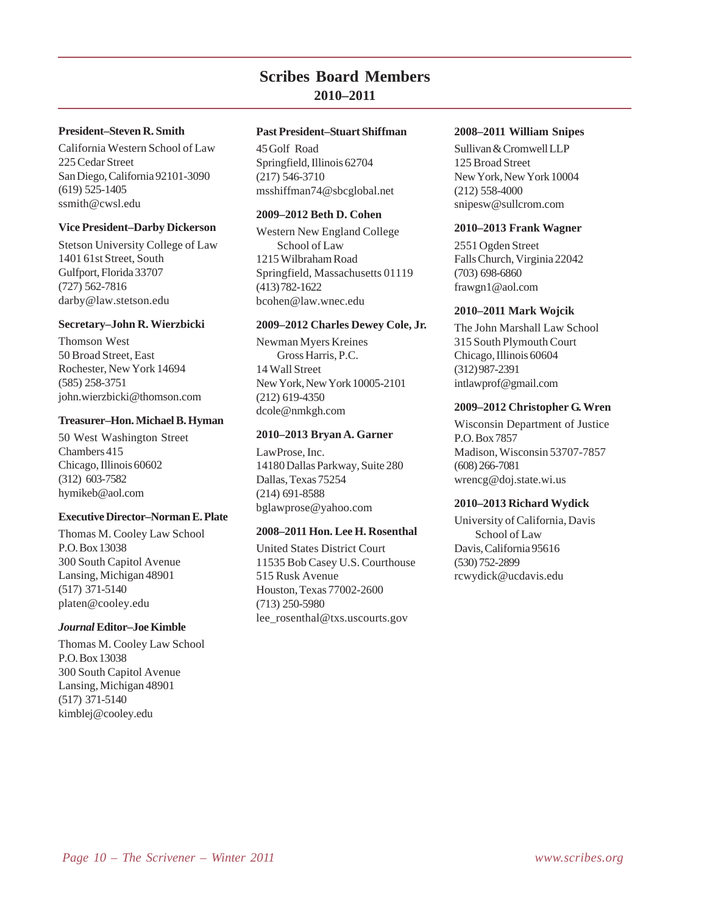# **Scribes Board Members 2010–2011**

#### **President–Steven R. Smith**

California Western School of Law 225 Cedar Street San Diego, California 92101-3090 (619) 525-1405 ssmith@cwsl.edu

#### **Vice President–Darby Dickerson**

Stetson University College of Law 1401 61st Street, South Gulfport, Florida 33707 (727) 562-7816 darby@law.stetson.edu

#### **Secretary–John R. Wierzbicki**

Thomson West 50 Broad Street, East Rochester, New York 14694 (585) 258-3751 john.wierzbicki@thomson.com

#### **Treasurer–Hon. Michael B. Hyman**

50 West Washington Street Chambers 415 Chicago, Illinois 60602 (312) 603-7582 hymikeb@aol.com

### **Executive Director–Norman E. Plate**

Thomas M. Cooley Law School P.O. Box 13038 300 South Capitol Avenue Lansing, Michigan 48901 (517) 371-5140 platen@cooley.edu

#### *Journal* **Editor–Joe Kimble**

Thomas M. Cooley Law School P.O. Box 13038 300 South Capitol Avenue Lansing, Michigan 48901 (517) 371-5140 kimblej@cooley.edu

### **Past President–Stuart Shiffman**

45 Golf Road Springfield, Illinois 62704 (217) 546-3710 msshiffman74@sbcglobal.net

#### **2009–2012 Beth D. Cohen**

Western New England College School of Law 1215 Wilbraham Road Springfield, Massachusetts 01119 (413) 782-1622 bcohen@law.wnec.edu

#### **2009–2012 Charles Dewey Cole, Jr.**

Newman Myers Kreines Gross Harris, P.C. 14 Wall Street New York, New York 10005-2101 (212) 619-4350 dcole@nmkgh.com

#### **2010–2013 Bryan A. Garner**

LawProse, Inc. 14180 Dallas Parkway, Suite 280 Dallas, Texas 75254 (214) 691-8588 bglawprose@yahoo.com

### **2008–2011 Hon. Lee H. Rosenthal**

United States District Court 11535 Bob Casey U.S. Courthouse 515 Rusk Avenue Houston, Texas 77002-2600 (713) 250-5980 lee\_rosenthal@txs.uscourts.gov

#### **2008–2011 William Snipes**

Sullivan & Cromwell LLP 125 Broad Street New York, New York 10004 (212) 558-4000 snipesw@sullcrom.com

#### **2010–2013 Frank Wagner**

2551 Ogden Street Falls Church, Virginia 22042 (703) 698-6860 frawgn1@aol.com

#### **2010–2011 Mark Wojcik**

The John Marshall Law School 315 South Plymouth Court Chicago, Illinois 60604 (312) 987-2391 intlawprof@gmail.com

#### **2009–2012 Christopher G. Wren**

Wisconsin Department of Justice P.O. Box 7857 Madison, Wisconsin 53707-7857 (608) 266-7081 wrencg@doj.state.wi.us

#### **2010–2013 Richard Wydick**

University of California, Davis School of Law Davis, California 95616 (530) 752-2899 rcwydick@ucdavis.edu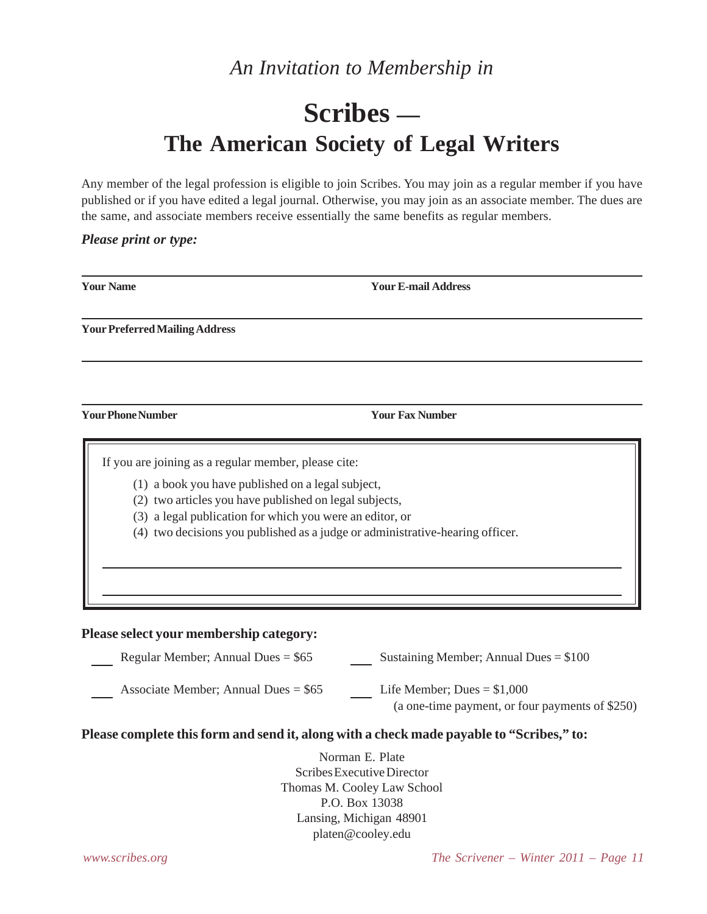# *An Invitation to Membership in*

# **Scribes — The American Society of Legal Writers**

Any member of the legal profession is eligible to join Scribes. You may join as a regular member if you have published or if you have edited a legal journal. Otherwise, you may join as an associate member. The dues are the same, and associate members receive essentially the same benefits as regular members.

### *Please print or type:*

| <b>Your Name</b>                        |                                                                                                                                                                                                                                 | <b>Your E-mail Address</b>                                                               |
|-----------------------------------------|---------------------------------------------------------------------------------------------------------------------------------------------------------------------------------------------------------------------------------|------------------------------------------------------------------------------------------|
| <b>Your Preferred Mailing Address</b>   |                                                                                                                                                                                                                                 |                                                                                          |
|                                         |                                                                                                                                                                                                                                 |                                                                                          |
| <b>Your Phone Number</b>                |                                                                                                                                                                                                                                 | <b>Your Fax Number</b>                                                                   |
|                                         | If you are joining as a regular member, please cite:<br>(1) a book you have published on a legal subject,<br>(2) two articles you have published on legal subjects,<br>(3) a legal publication for which you were an editor, or | (4) two decisions you published as a judge or administrative-hearing officer.            |
| Please select your membership category: |                                                                                                                                                                                                                                 |                                                                                          |
| Regular Member; Annual Dues = $$65$     |                                                                                                                                                                                                                                 | Sustaining Member; Annual Dues $= $100$                                                  |
| Associate Member; Annual Dues = $$65$   |                                                                                                                                                                                                                                 | Life Member; Dues = $$1,000$<br>(a one-time payment, or four payments of \$250)          |
|                                         |                                                                                                                                                                                                                                 | Please complete this form and send it, along with a check made payable to "Scribes," to: |
|                                         |                                                                                                                                                                                                                                 | Norman E. Plate<br>Scribes Executive Director<br>Thomas M. Cooley Law School             |

P.O. Box 13038 Lansing, Michigan 48901 platen@cooley.edu